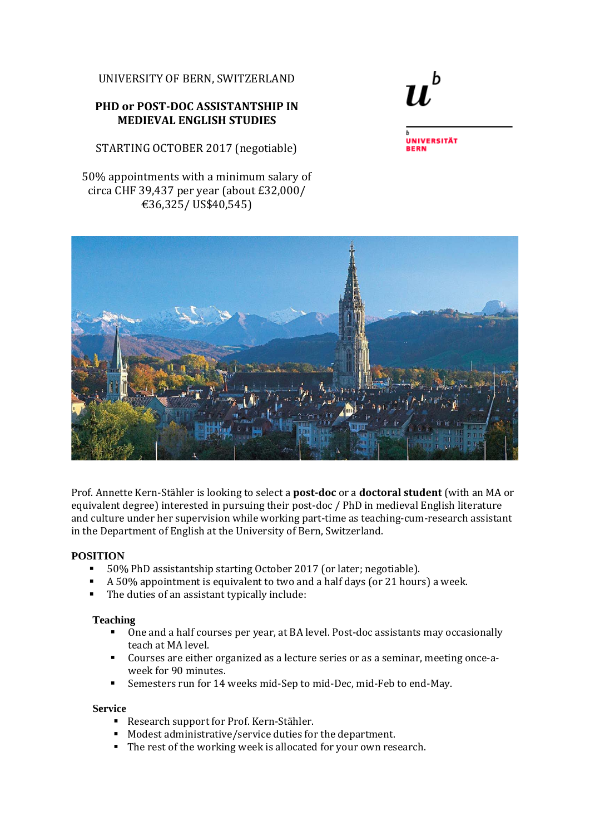# UNIVERSITY OF BERN, SWITZERLAND

# **PHD or POST-DOC ASSISTANTSHIP IN MEDIEVAL ENGLISH STUDIES**

STARTING OCTOBER 2017 (negotiable)

50% appointments with a minimum salary of circa CHF 39,437 per year (about £32,000/ €36,325/ US\$40,545)



**UNIVERSITÄT RERN** 



Prof. Annette Kern-Stähler is looking to select a **post-doc** or a **doctoral student** (with an MA or equivalent degree) interested in pursuing their post-doc / PhD in medieval English literature and culture under her supervision while working part-time as teaching-cum-research assistant in the Department of English at the University of Bern, Switzerland.

## **POSITION**

- 50% PhD assistantship starting October 2017 (or later; negotiable).
- A 50% appointment is equivalent to two and a half days (or 21 hours) a week.<br>The duties of an assistant typically include:
- The duties of an assistant typically include:

#### **Teaching**

- One and a half courses per year, at BA level. Post-doc assistants may occasionally teach at MA level.
- Courses are either organized as a lecture series or as a seminar, meeting once-aweek for 90 minutes.
- Semesters run for 14 weeks mid-Sep to mid-Dec, mid-Feb to end-May.

#### **Service**

- Research support for Prof. Kern-Stähler.
- Modest administrative/service duties for the department.
- The rest of the working week is allocated for your own research.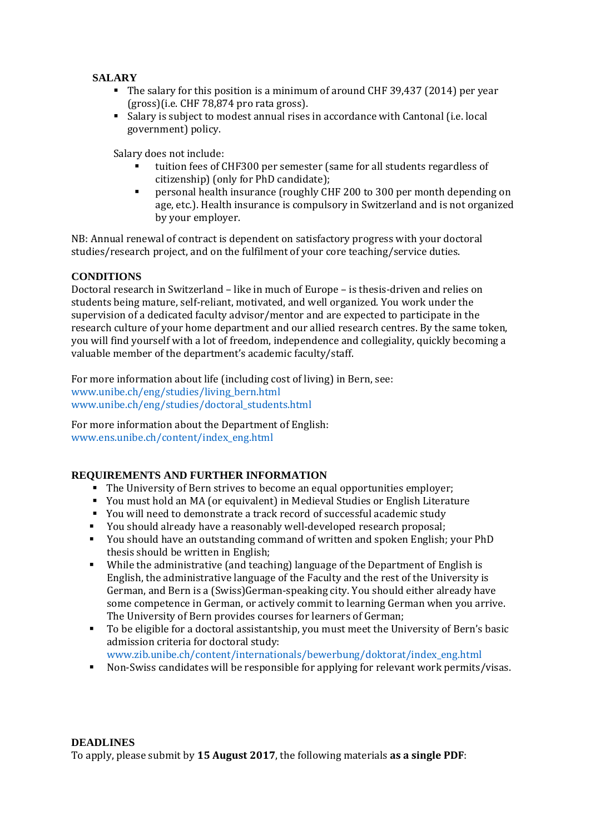# **SALARY**

- The salary for this position is a minimum of around CHF 39,437 (2014) per year (gross)(i.e. CHF 78,874 pro rata gross).
- Salary is subject to modest annual rises in accordance with Cantonal (i.e. local government) policy.

Salary does not include:

- tuition fees of CHF300 per semester (same for all students regardless of citizenship) (only for PhD candidate);
- personal health insurance (roughly CHF 200 to 300 per month depending on age, etc.). Health insurance is compulsory in Switzerland and is not organized by your employer.

NB: Annual renewal of contract is dependent on satisfactory progress with your doctoral studies/research project, and on the fulfilment of your core teaching/service duties.

## **CONDITIONS**

Doctoral research in Switzerland – like in much of Europe – is thesis-driven and relies on students being mature, self-reliant, motivated, and well organized. You work under the supervision of a dedicated faculty advisor/mentor and are expected to participate in the research culture of your home department and our allied research centres. By the same token, you will find yourself with a lot of freedom, independence and collegiality, quickly becoming a valuable member of the department's academic faculty/staff.

For more information about life (including cost of living) in Bern, see: www.unibe.ch/eng/studies/living\_bern.html www.unibe.ch/eng/studies/doctoral\_students.html

For more information about the Department of English: www.ens.unibe.ch/content/index\_eng.html

## **REQUIREMENTS AND FURTHER INFORMATION**

- The University of Bern strives to become an equal opportunities employer;
- You must hold an MA (or equivalent) in Medieval Studies or English Literature
- You will need to demonstrate a track record of successful academic study
- You should already have a reasonably well-developed research proposal;
- You should have an outstanding command of written and spoken English; your PhD thesis should be written in English;
- While the administrative (and teaching) language of the Department of English is English, the administrative language of the Faculty and the rest of the University is German, and Bern is a (Swiss)German-speaking city. You should either already have some competence in German, or actively commit to learning German when you arrive. The University of Bern provides courses for learners of German;
- To be eligible for a doctoral assistantship, you must meet the University of Bern's basic admission criteria for doctoral study: www.zib.unibe.ch/content/internationals/bewerbung/doktorat/index\_eng.html
- Non-Swiss candidates will be responsible for applying for relevant work permits/visas.